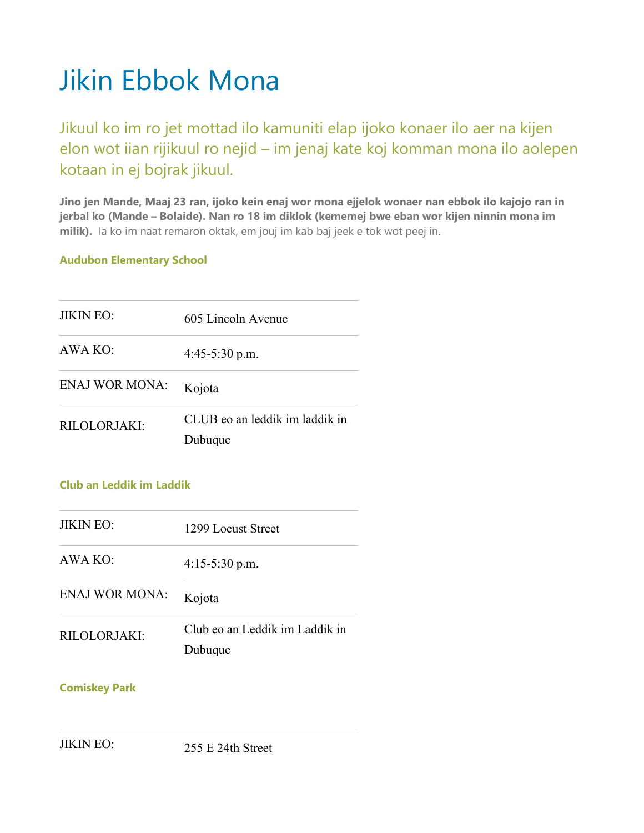# Jikin Ebbok Mona

Jikuul ko im ro jet mottad ilo kamuniti elap ijoko konaer ilo aer na kijen elon wot iian rijikuul ro nejid – im jenaj kate koj komman mona ilo aolepen kotaan in ej bojrak jikuul.

**Jino jen Mande, Maaj 23 ran, ijoko kein enaj wor mona ejjelok wonaer nan ebbok ilo kajojo ran in jerbal ko (Mande – Bolaide). Nan ro 18 im diklok (kememej bwe eban wor kijen ninnin mona im milik).** Ia ko im naat remaron oktak, em jouj im kab baj jeek e tok wot peej in.

#### **Audubon Elementary School**

| <b>JIKIN EO:</b>      | 605 Lincoln Avenue                        |
|-----------------------|-------------------------------------------|
| AWA KO:               | $4:45-5:30$ p.m.                          |
| <b>ENAJ WOR MONA:</b> | Kojota                                    |
| RILOLORIAKI:          | CLUB eo an leddik im laddik in<br>Dubuque |

#### **Club an Leddik im Laddik**

| <b>JIKIN EO:</b>      | 1299 Locust Street                        |
|-----------------------|-------------------------------------------|
| AWA KO:               | $4:15-5:30$ p.m.                          |
| <b>ENAJ WOR MONA:</b> | Kojota                                    |
| RILOLORJAKI:          | Club eo an Leddik im Laddik in<br>Dubuque |

#### **Comiskey Park**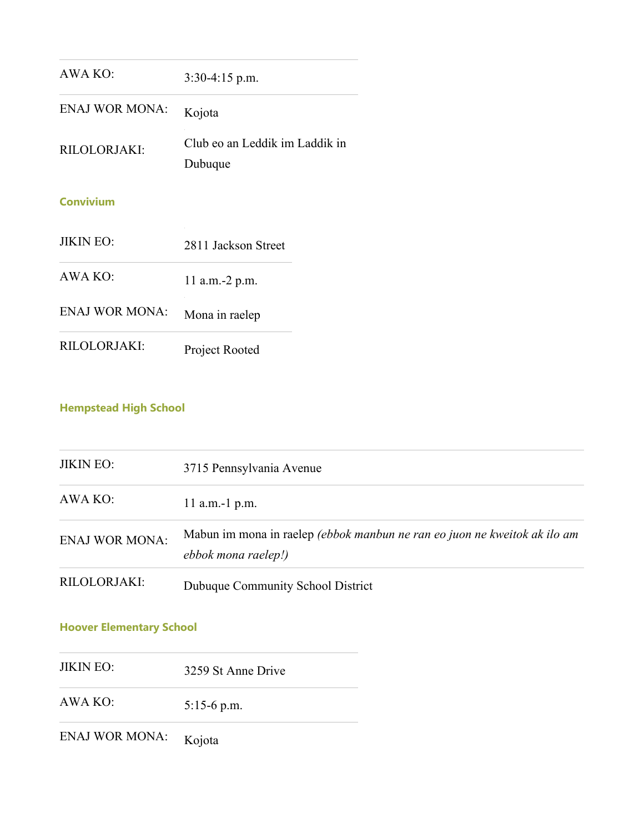| AWA KO:               | $3:30-4:15$ p.m.                          |
|-----------------------|-------------------------------------------|
| <b>ENAJ WOR MONA:</b> | Kojota                                    |
| RILOLORJAKI:          | Club eo an Leddik im Laddik in<br>Dubuque |
| <b>Convivium</b>      |                                           |
| <b>JIKIN EO:</b>      | 2811 Jackson Street                       |
| AWA KO:               | 11 a.m.-2 p.m.                            |
| <b>ENAJ WOR MONA:</b> | Mona in raelep                            |
|                       |                                           |

RILOLORJAKI: Project Rooted

# **Hempstead High School**

| <b>JIKIN EO:</b>      | 3715 Pennsylvania Avenue                                                                         |
|-----------------------|--------------------------------------------------------------------------------------------------|
| AWA KO:               | 11 a.m.-1 $p.m.$                                                                                 |
| <b>ENAJ WOR MONA:</b> | Mabun im mona in raelep (ebbok manbun ne ran eo juon ne kweitok ak ilo am<br>ebbok mona raelep!) |
| RILOLORJAKI:          | Dubuque Community School District                                                                |

# **Hoover Elementary School**

JIKIN EO: 3259 St Anne Drive

AWA KO: 5:15-6 p.m.

ENAJ WOR MONA: Kojota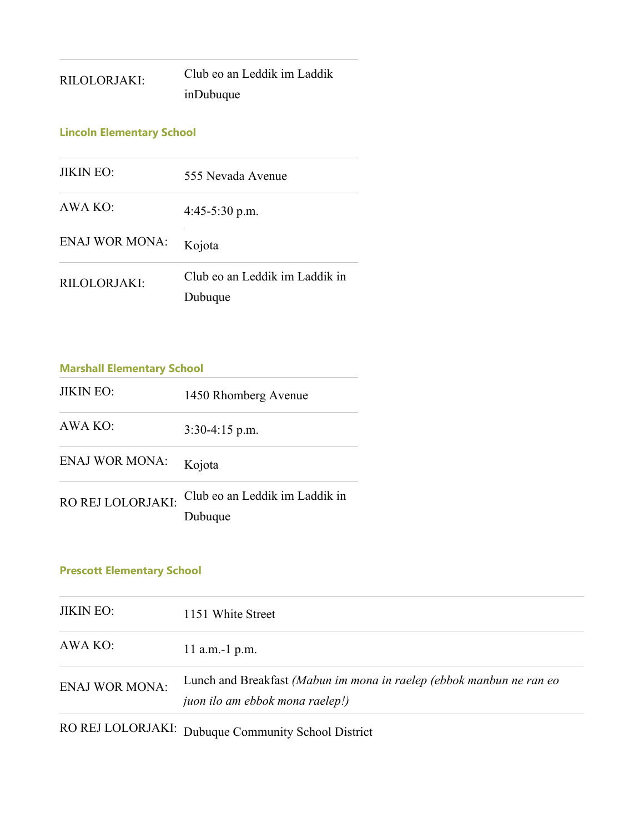| RILOLORJAKI: | Club eo an Leddik im Laddik |
|--------------|-----------------------------|
|              | inDubuque                   |

### **Lincoln Elementary School**

| <b>JIKIN EO:</b>      | 555 Nevada Avenue                         |
|-----------------------|-------------------------------------------|
| AWA KO:               | $4:45-5:30$ p.m.                          |
| <b>ENAJ WOR MONA:</b> | Kojota                                    |
| RILOLORIAKI:          | Club eo an Leddik im Laddik in<br>Dubuque |

| <b>Marshall Elementary School</b> |                                           |
|-----------------------------------|-------------------------------------------|
| <b>JIKIN EO:</b>                  | 1450 Rhomberg Avenue                      |
| AWA KO:                           | $3:30-4:15$ p.m.                          |
| <b>ENAJ WOR MONA:</b>             | Kojota                                    |
| RO REJ LOLORJAKI:                 | Club eo an Leddik im Laddik in<br>Dubuque |

# **Prescott Elementary School**

| <b>JIKIN EO:</b>      | 1151 White Street                                                                                       |
|-----------------------|---------------------------------------------------------------------------------------------------------|
| AWA KO:               | 11 a.m.-1 $p.m.$                                                                                        |
| <b>ENAJ WOR MONA:</b> | Lunch and Breakfast (Mabun im mona in raelep (ebbok manbun ne ran eo<br>juon ilo am ebbok mona raelep!) |
|                       | RO REJ LOLORJAKI: Dubuque Community School District                                                     |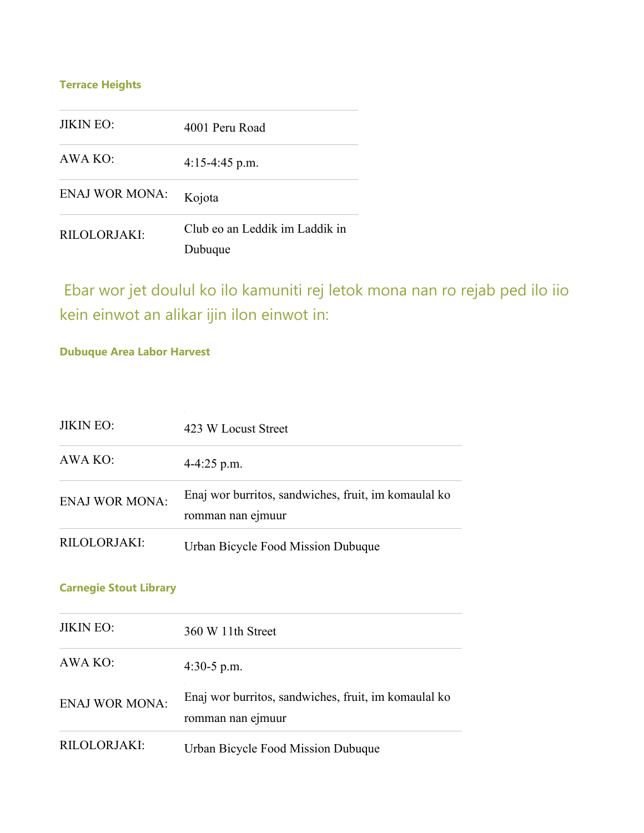## **Terrace Heights**

| <b>JIKIN EO:</b>      | 4001 Peru Road                            |
|-----------------------|-------------------------------------------|
| AWA KO:               | $4:15-4:45$ p.m.                          |
| <b>ENAJ WOR MONA:</b> | Kojota                                    |
| RILOLORJAKI:          | Club eo an Leddik im Laddik in<br>Dubuque |

Ebar wor jet doulul ko ilo kamuniti rej letok mona nan ro rejab ped ilo iio kein einwot an alikar ijin ilon einwot in:

#### **Dubuque Area Labor Harvest**

| <b>JIKIN EO:</b>      | 423 W Locust Street                                                       |
|-----------------------|---------------------------------------------------------------------------|
| AWA KO:               | $4 - 4:25$ p.m.                                                           |
| <b>ENAJ WOR MONA:</b> | Enaj wor burritos, sandwiches, fruit, im komaulal ko<br>romman nan ejmuur |
| RILOLORJAKI:          | Urban Bicycle Food Mission Dubuque                                        |

## **Carnegie Stout Library**

| <b>JIKIN EO:</b>      | 360 W 11th Street                                                         |
|-----------------------|---------------------------------------------------------------------------|
| AWA KO:               | 4:30-5 p.m.                                                               |
| <b>ENAJ WOR MONA:</b> | Enaj wor burritos, sandwiches, fruit, im komaulal ko<br>romman nan ejmuur |
| RILOLORJAKI:          | Urban Bicycle Food Mission Dubuque                                        |